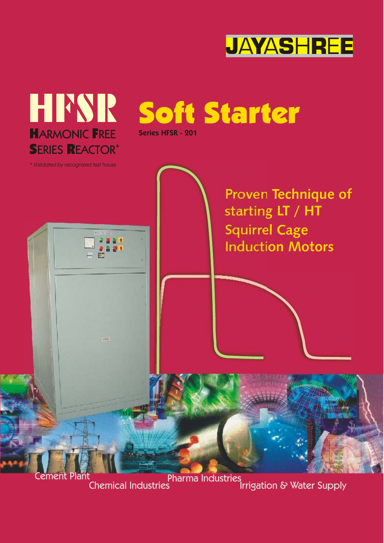



Cement Plant Chemical IndustriesPharma Industries Irrigation & Water Supply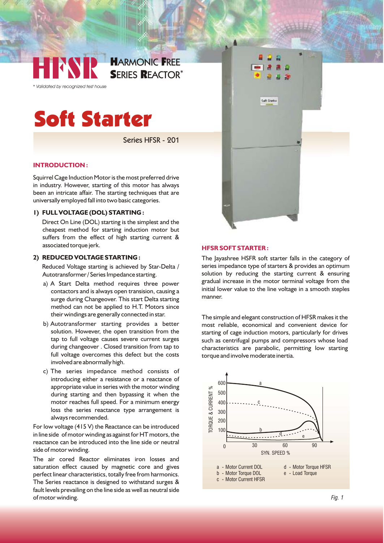

*\* Validated by recognized test house*

# Soft Starter

Series HFSR - 201

#### **INTRODUCTION :**

Squirrel Cage Induction Motor is the most preferred drive in industry. However, starting of this motor has always been an intricate affair. The starting techniques that are universally employed fall into two basic categories.

#### **1) FULL VOLTAGE (DOL) STARTING :**

Direct On Line (DOL) starting is the simplest and the cheapest method for starting induction motor but suffers from the effect of high starting current & associated torque jerk.

### **2) REDUCED VOLTAGE STARTING :**

Reduced Voltage starting is achieved by Star-Delta / Autotransformer / Series Impedance starting.

- a) A Start Delta method requires three power contactors and is always open transision, causing a surge during Changeover. This start Delta starting method can not be applied to H.T. Motors since their windings are generally connected in star.
- b) Autotransformer starting provides a better solution. However, the open transition from the tap to full voltage causes severe current surges during changeover . Closed transition from tap to full voltage overcomes this defect but the costs involved are abnormally high.
- c) The series impedance method consists of introducing either a resistance or a reactance of appropriate value in series with the motor winding during starting and then bypassing it when the motor reaches full speed. For a minimum energy loss the series reactance type arrangement is always recommended.

For low voltage (415 V) the Reactance can be introduced in line side of motor winding as against for HT motors, the reactance can be introduced into the line side or neutral side of motor winding.

The air cored Reactor eliminates iron losses and saturation effect caused by magnetic core and gives perfect linear characteristics, totally free from harmonics. The Series reactance is designed to withstand surges & fault levels prevailing on the line side as well as neutral side of motor winding.



#### **HFSR SOFT STARTER :**

The Jayashree HSFR soft starter falls in the category of series impedance type of starters & provides an optimum solution by reducing the starting current & ensuring gradual increase in the motor terminal voltage from the initial lower value to the line voltage in a smooth steples manner.

The simple and elegant construction of HFSR makes it the most reliable, economical and convenient device for starting of cage induction motors, particularly for drives such as centrifugal pumps and compressors whose load characteristics are parabolic, permitting low starting torque and involve moderate inertia.

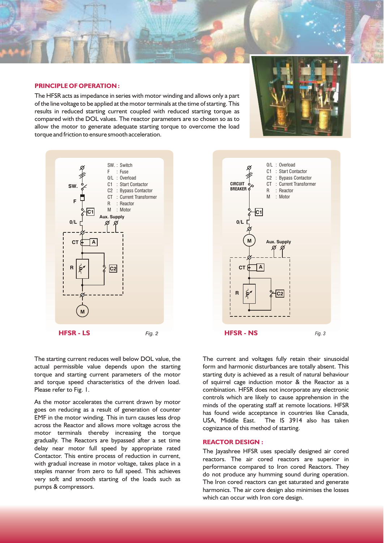

#### **PRINCIPLE OF OPERATION :**

The HFSR acts as impedance in series with motor winding and allows only a part of the line voltage to be applied at the motor terminals at the time of starting. This results in reduced starting current coupled with reduced starting torque as compared with the DOL values. The reactor parameters are so chosen so as to allow the motor to generate adequate starting torque to overcome the load torque and friction to ensure smooth acceleration.







The starting current reduces well below DOL value, the actual permissible value depends upon the starting torque and starting current parameters of the motor and torque speed characteristics of the driven load. Please refer to Fig. 1.

As the motor accelerates the current drawn by motor goes on reducing as a result of generation of counter EMF in the motor winding. This in turn causes less drop across the Reactor and allows more voltage across the motor terminals thereby increasing the torque gradually. The Reactors are bypassed after a set time delay near motor full speed by appropriate rated Contactor. This entire process of reduction in current, with gradual increase in motor voltage, takes place in a steples manner from zero to full speed. This achieves very soft and smooth starting of the loads such as pumps & compressors.

The current and voltages fully retain their sinusoidal form and harmonic disturbances are totally absent. This starting duty is achieved as a result of natural behaviour of squirrel cage induction motor & the Reactor as a combination. HFSR does not incorporate any electronic controls which are likely to cause apprehension in the minds of the operating staff at remote locations. HFSR has found wide acceptance in countries like Canada, USA, Middle East. The IS 3914 also has taken cognizance of this method of starting.

#### **REACTOR DESIGN :**

The Jayashree HFSR uses specially designed air cored reactors. The air cored reactors are superior in performance compared to Iron cored Reactors. They do not produce any humming sound during operation. The Iron cored reactors can get saturated and generate harmonics. The air core design also minimises the losses which can occur with Iron core design.